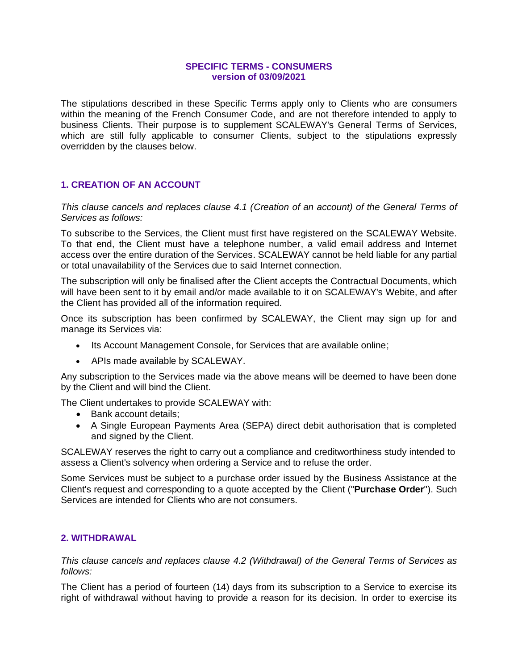## **SPECIFIC TERMS - CONSUMERS version of 03/09/2021**

The stipulations described in these Specific Terms apply only to Clients who are consumers within the meaning of the French Consumer Code, and are not therefore intended to apply to business Clients. Their purpose is to supplement SCALEWAY's General Terms of Services, which are still fully applicable to consumer Clients, subject to the stipulations expressly overridden by the clauses below.

# **1. CREATION OF AN ACCOUNT**

*This clause cancels and replaces clause 4.1 (Creation of an account) of the General Terms of Services as follows:*

To subscribe to the Services, the Client must first have registered on the SCALEWAY Website. To that end, the Client must have a telephone number, a valid email address and Internet access over the entire duration of the Services. SCALEWAY cannot be held liable for any partial or total unavailability of the Services due to said Internet connection.

The subscription will only be finalised after the Client accepts the Contractual Documents, which will have been sent to it by email and/or made available to it on SCALEWAY's Webite, and after the Client has provided all of the information required.

Once its subscription has been confirmed by SCALEWAY, the Client may sign up for and manage its Services via:

- Its Account Management Console, for Services that are available online;
- APIs made available by SCALEWAY.

Any subscription to the Services made via the above means will be deemed to have been done by the Client and will bind the Client.

The Client undertakes to provide SCALEWAY with:

- Bank account details;
- A Single European Payments Area (SEPA) direct debit authorisation that is completed and signed by the Client.

SCALEWAY reserves the right to carry out a compliance and creditworthiness study intended to assess a Client's solvency when ordering a Service and to refuse the order.

Some Services must be subject to a purchase order issued by the Business Assistance at the Client's request and corresponding to a quote accepted by the Client ("**Purchase Order**"). Such Services are intended for Clients who are not consumers.

# **2. WITHDRAWAL**

*This clause cancels and replaces clause 4.2 (Withdrawal) of the General Terms of Services as follows:*

The Client has a period of fourteen (14) days from its subscription to a Service to exercise its right of withdrawal without having to provide a reason for its decision. In order to exercise its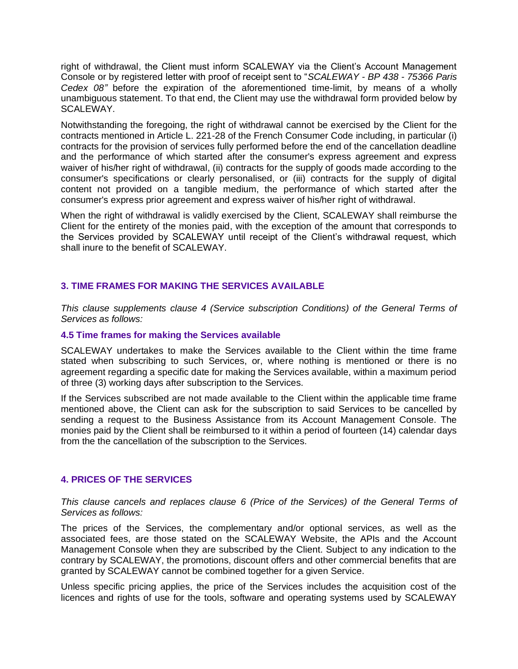right of withdrawal, the Client must inform SCALEWAY via the Client's Account Management Console or by registered letter with proof of receipt sent to "*SCALEWAY - BP 438 - 75366 Paris Cedex 08"* before the expiration of the aforementioned time-limit, by means of a wholly unambiguous statement. To that end, the Client may use the withdrawal form provided below by SCALEWAY.

Notwithstanding the foregoing, the right of withdrawal cannot be exercised by the Client for the contracts mentioned in Article L. 221-28 of the French Consumer Code including, in particular (i) contracts for the provision of services fully performed before the end of the cancellation deadline and the performance of which started after the consumer's express agreement and express waiver of his/her right of withdrawal, (ii) contracts for the supply of goods made according to the consumer's specifications or clearly personalised, or (iii) contracts for the supply of digital content not provided on a tangible medium, the performance of which started after the consumer's express prior agreement and express waiver of his/her right of withdrawal.

When the right of withdrawal is validly exercised by the Client, SCALEWAY shall reimburse the Client for the entirety of the monies paid, with the exception of the amount that corresponds to the Services provided by SCALEWAY until receipt of the Client's withdrawal request, which shall inure to the benefit of SCALEWAY.

# **3. TIME FRAMES FOR MAKING THE SERVICES AVAILABLE**

*This clause supplements clause 4 (Service subscription Conditions) of the General Terms of Services as follows:*

#### **4.5 Time frames for making the Services available**

SCALEWAY undertakes to make the Services available to the Client within the time frame stated when subscribing to such Services, or, where nothing is mentioned or there is no agreement regarding a specific date for making the Services available, within a maximum period of three (3) working days after subscription to the Services.

If the Services subscribed are not made available to the Client within the applicable time frame mentioned above, the Client can ask for the subscription to said Services to be cancelled by sending a request to the Business Assistance from its Account Management Console. The monies paid by the Client shall be reimbursed to it within a period of fourteen (14) calendar days from the the cancellation of the subscription to the Services.

#### **4. PRICES OF THE SERVICES**

*This clause cancels and replaces clause 6 (Price of the Services) of the General Terms of Services as follows:*

The prices of the Services, the complementary and/or optional services, as well as the associated fees, are those stated on the SCALEWAY Website, the APIs and the Account Management Console when they are subscribed by the Client. Subject to any indication to the contrary by SCALEWAY, the promotions, discount offers and other commercial benefits that are granted by SCALEWAY cannot be combined together for a given Service.

Unless specific pricing applies, the price of the Services includes the acquisition cost of the licences and rights of use for the tools, software and operating systems used by SCALEWAY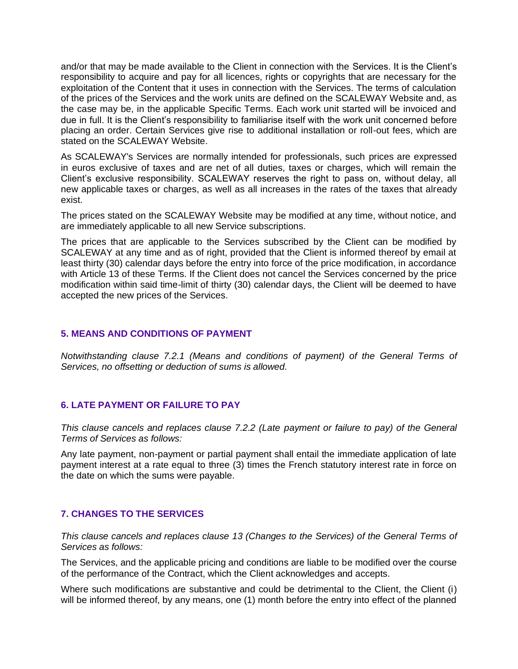and/or that may be made available to the Client in connection with the Services. It is the Client's responsibility to acquire and pay for all licences, rights or copyrights that are necessary for the exploitation of the Content that it uses in connection with the Services. The terms of calculation of the prices of the Services and the work units are defined on the SCALEWAY Website and, as the case may be, in the applicable Specific Terms. Each work unit started will be invoiced and due in full. It is the Client's responsibility to familiarise itself with the work unit concerned before placing an order. Certain Services give rise to additional installation or roll-out fees, which are stated on the SCALEWAY Website.

As SCALEWAY's Services are normally intended for professionals, such prices are expressed in euros exclusive of taxes and are net of all duties, taxes or charges, which will remain the Client's exclusive responsibility. SCALEWAY reserves the right to pass on, without delay, all new applicable taxes or charges, as well as all increases in the rates of the taxes that already exist.

The prices stated on the SCALEWAY Website may be modified at any time, without notice, and are immediately applicable to all new Service subscriptions.

The prices that are applicable to the Services subscribed by the Client can be modified by SCALEWAY at any time and as of right, provided that the Client is informed thereof by email at least thirty (30) calendar days before the entry into force of the price modification, in accordance with Article 13 of these Terms. If the Client does not cancel the Services concerned by the price modification within said time-limit of thirty (30) calendar days, the Client will be deemed to have accepted the new prices of the Services.

## **5. MEANS AND CONDITIONS OF PAYMENT**

*Notwithstanding clause 7.2.1 (Means and conditions of payment) of the General Terms of Services, no offsetting or deduction of sums is allowed.*

#### **6. LATE PAYMENT OR FAILURE TO PAY**

*This clause cancels and replaces clause 7.2.2 (Late payment or failure to pay) of the General Terms of Services as follows:*

Any late payment, non-payment or partial payment shall entail the immediate application of late payment interest at a rate equal to three (3) times the French statutory interest rate in force on the date on which the sums were payable.

# **7. CHANGES TO THE SERVICES**

*This clause cancels and replaces clause 13 (Changes to the Services) of the General Terms of Services as follows:*

The Services, and the applicable pricing and conditions are liable to be modified over the course of the performance of the Contract, which the Client acknowledges and accepts.

Where such modifications are substantive and could be detrimental to the Client, the Client (i) will be informed thereof, by any means, one (1) month before the entry into effect of the planned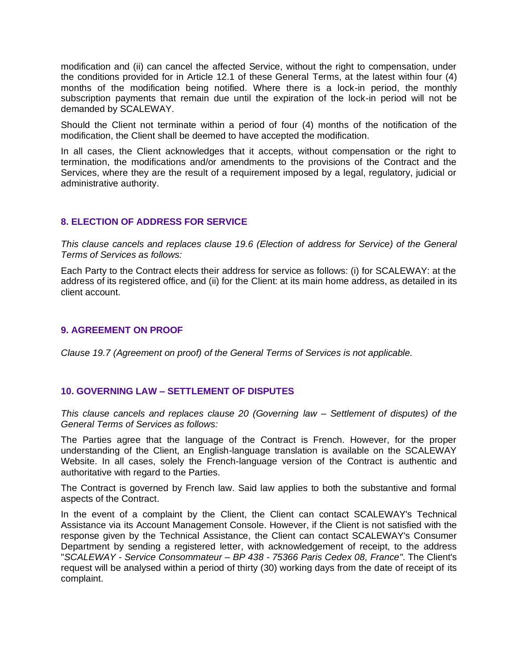modification and (ii) can cancel the affected Service, without the right to compensation, under the conditions provided for in Article 12.1 of these General Terms, at the latest within four (4) months of the modification being notified. Where there is a lock-in period, the monthly subscription payments that remain due until the expiration of the lock-in period will not be demanded by SCALEWAY.

Should the Client not terminate within a period of four (4) months of the notification of the modification, the Client shall be deemed to have accepted the modification.

In all cases, the Client acknowledges that it accepts, without compensation or the right to termination, the modifications and/or amendments to the provisions of the Contract and the Services, where they are the result of a requirement imposed by a legal, regulatory, judicial or administrative authority.

## **8. ELECTION OF ADDRESS FOR SERVICE**

*This clause cancels and replaces clause 19.6 (Election of address for Service) of the General Terms of Services as follows:*

Each Party to the Contract elects their address for service as follows: (i) for SCALEWAY: at the address of its registered office, and (ii) for the Client: at its main home address, as detailed in its client account.

## **9. AGREEMENT ON PROOF**

*Clause 19.7 (Agreement on proof) of the General Terms of Services is not applicable.*

#### **10. GOVERNING LAW – SETTLEMENT OF DISPUTES**

*This clause cancels and replaces clause 20 (Governing law – Settlement of disputes) of the General Terms of Services as follows:*

The Parties agree that the language of the Contract is French. However, for the proper understanding of the Client, an English-language translation is available on the SCALEWAY Website. In all cases, solely the French-language version of the Contract is authentic and authoritative with regard to the Parties.

The Contract is governed by French law. Said law applies to both the substantive and formal aspects of the Contract.

In the event of a complaint by the Client, the Client can contact SCALEWAY's Technical Assistance via its Account Management Console. However, if the Client is not satisfied with the response given by the Technical Assistance, the Client can contact SCALEWAY's Consumer Department by sending a registered letter, with acknowledgement of receipt, to the address "*SCALEWAY - Service Consommateur – BP 438 - 75366 Paris Cedex 08, France"*. The Client's request will be analysed within a period of thirty (30) working days from the date of receipt of its complaint.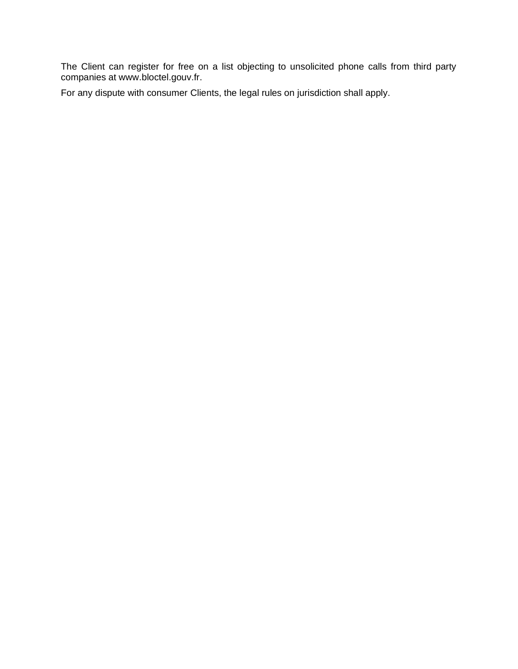The Client can register for free on a list objecting to unsolicited phone calls from third party companies at www.bloctel.gouv.fr.

For any dispute with consumer Clients, the legal rules on jurisdiction shall apply.